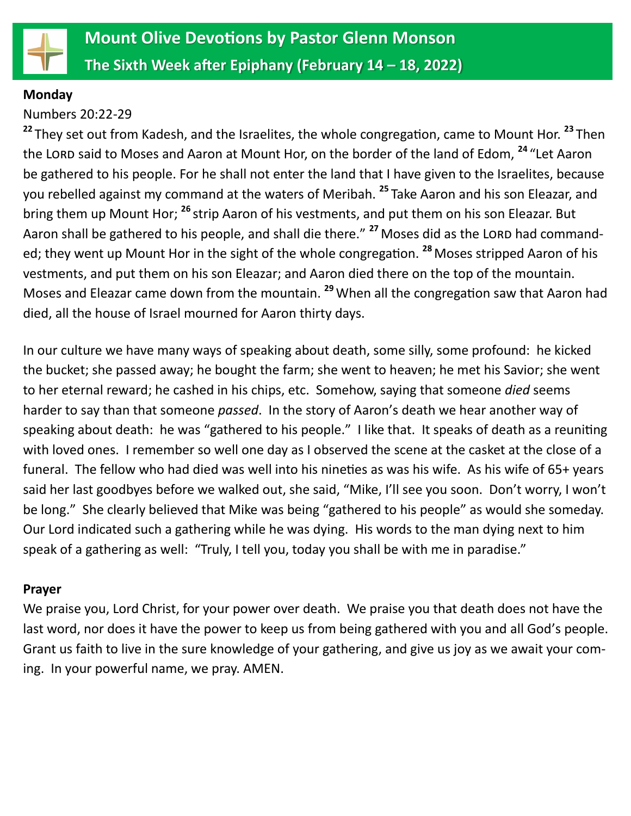

#### **Monday**

# Numbers 20:22-29

**<sup>22</sup>** They set out from Kadesh, and the Israelites, the whole congregation, came to Mount Hor. **<sup>23</sup>** Then the LORD said to Moses and Aaron at Mount Hor, on the border of the land of Edom, <sup>24</sup> "Let Aaron be gathered to his people. For he shall not enter the land that I have given to the Israelites, because you rebelled against my command at the waters of Meribah. **<sup>25</sup>** Take Aaron and his son Eleazar, and bring them up Mount Hor; **<sup>26</sup>** strip Aaron of his vestments, and put them on his son Eleazar. But Aaron shall be gathered to his people, and shall die there." <sup>27</sup> Moses did as the LORD had commanded; they went up Mount Hor in the sight of the whole congregation. **<sup>28</sup>**Moses stripped Aaron of his vestments, and put them on his son Eleazar; and Aaron died there on the top of the mountain. Moses and Eleazar came down from the mountain. **<sup>29</sup>** When all the congregation saw that Aaron had died, all the house of Israel mourned for Aaron thirty days.

In our culture we have many ways of speaking about death, some silly, some profound: he kicked the bucket; she passed away; he bought the farm; she went to heaven; he met his Savior; she went to her eternal reward; he cashed in his chips, etc. Somehow, saying that someone *died* seems harder to say than that someone *passed*. In the story of Aaron's death we hear another way of speaking about death: he was "gathered to his people." I like that. It speaks of death as a reuniting with loved ones. I remember so well one day as I observed the scene at the casket at the close of a funeral. The fellow who had died was well into his nineties as was his wife. As his wife of 65+ years said her last goodbyes before we walked out, she said, "Mike, I'll see you soon. Don't worry, I won't be long." She clearly believed that Mike was being "gathered to his people" as would she someday. Our Lord indicated such a gathering while he was dying. His words to the man dying next to him speak of a gathering as well: "Truly, I tell you, today you shall be with me in paradise."

## **Prayer**

We praise you, Lord Christ, for your power over death. We praise you that death does not have the last word, nor does it have the power to keep us from being gathered with you and all God's people. Grant us faith to live in the sure knowledge of your gathering, and give us joy as we await your coming. In your powerful name, we pray. AMEN.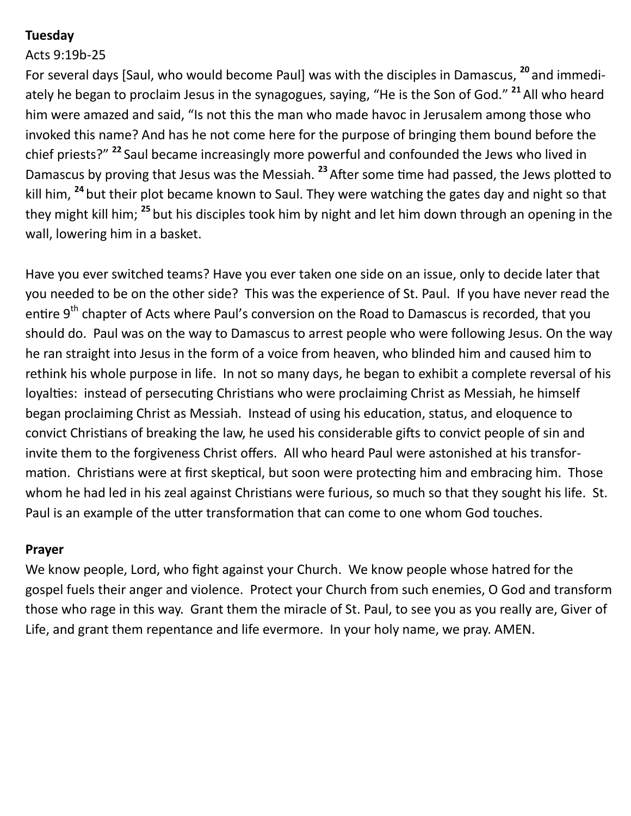# **Tuesday**

## Acts 9:19b-25

For several days [Saul, who would become Paul] was with the disciples in Damascus, **<sup>20</sup>** and immediately he began to proclaim Jesus in the synagogues, saying, "He is the Son of God." **<sup>21</sup>**All who heard him were amazed and said, "Is not this the man who made havoc in Jerusalem among those who invoked this name? And has he not come here for the purpose of bringing them bound before the chief priests?" **<sup>22</sup>** Saul became increasingly more powerful and confounded the Jews who lived in Damascus by proving that Jesus was the Messiah. **<sup>23</sup>**After some time had passed, the Jews plotted to kill him, **<sup>24</sup>** but their plot became known to Saul. They were watching the gates day and night so that they might kill him; **<sup>25</sup>** but his disciples took him by night and let him down through an opening in the wall, lowering him in a basket.

Have you ever switched teams? Have you ever taken one side on an issue, only to decide later that you needed to be on the other side? This was the experience of St. Paul. If you have never read the entire 9<sup>th</sup> chapter of Acts where Paul's conversion on the Road to Damascus is recorded, that you should do. Paul was on the way to Damascus to arrest people who were following Jesus. On the way he ran straight into Jesus in the form of a voice from heaven, who blinded him and caused him to rethink his whole purpose in life. In not so many days, he began to exhibit a complete reversal of his loyalties: instead of persecuting Christians who were proclaiming Christ as Messiah, he himself began proclaiming Christ as Messiah. Instead of using his education, status, and eloquence to convict Christians of breaking the law, he used his considerable gifts to convict people of sin and invite them to the forgiveness Christ offers. All who heard Paul were astonished at his transformation. Christians were at first skeptical, but soon were protecting him and embracing him. Those whom he had led in his zeal against Christians were furious, so much so that they sought his life. St. Paul is an example of the utter transformation that can come to one whom God touches.

## **Prayer**

We know people, Lord, who fight against your Church. We know people whose hatred for the gospel fuels their anger and violence. Protect your Church from such enemies, O God and transform those who rage in this way. Grant them the miracle of St. Paul, to see you as you really are, Giver of Life, and grant them repentance and life evermore. In your holy name, we pray. AMEN.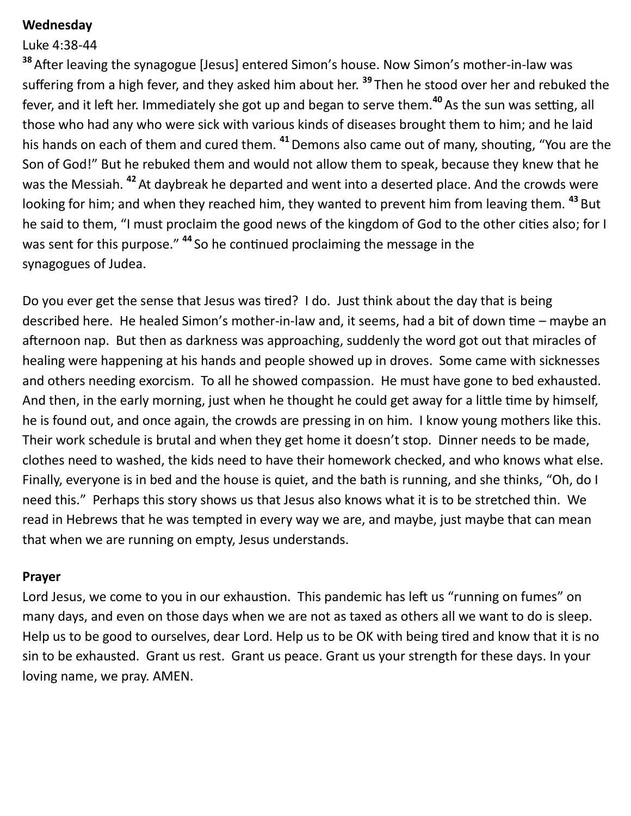### **Wednesday**

### Luke 4:38-44

**<sup>38</sup>**After leaving the synagogue [Jesus] entered Simon's house. Now Simon's mother-in-law was suffering from a high fever, and they asked him about her. **<sup>39</sup>** Then he stood over her and rebuked the fever, and it left her. Immediately she got up and began to serve them.**<sup>40</sup>**As the sun was setting, all those who had any who were sick with various kinds of diseases brought them to him; and he laid his hands on each of them and cured them. **<sup>41</sup>**Demons also came out of many, shouting, "You are the Son of God!" But he rebuked them and would not allow them to speak, because they knew that he was the Messiah. **<sup>42</sup>**At daybreak he departed and went into a deserted place. And the crowds were looking for him; and when they reached him, they wanted to prevent him from leaving them. **<sup>43</sup>** But he said to them, "I must proclaim the good news of the kingdom of God to the other cities also; for I was sent for this purpose." <sup>44</sup> So he continued proclaiming the message in the synagogues of Judea.

Do you ever get the sense that Jesus was tired? I do. Just think about the day that is being described here. He healed Simon's mother-in-law and, it seems, had a bit of down time – maybe an afternoon nap. But then as darkness was approaching, suddenly the word got out that miracles of healing were happening at his hands and people showed up in droves. Some came with sicknesses and others needing exorcism. To all he showed compassion. He must have gone to bed exhausted. And then, in the early morning, just when he thought he could get away for a little time by himself, he is found out, and once again, the crowds are pressing in on him. I know young mothers like this. Their work schedule is brutal and when they get home it doesn't stop. Dinner needs to be made, clothes need to washed, the kids need to have their homework checked, and who knows what else. Finally, everyone is in bed and the house is quiet, and the bath is running, and she thinks, "Oh, do I need this." Perhaps this story shows us that Jesus also knows what it is to be stretched thin. We read in Hebrews that he was tempted in every way we are, and maybe, just maybe that can mean that when we are running on empty, Jesus understands.

#### **Prayer**

Lord Jesus, we come to you in our exhaustion. This pandemic has left us "running on fumes" on many days, and even on those days when we are not as taxed as others all we want to do is sleep. Help us to be good to ourselves, dear Lord. Help us to be OK with being tired and know that it is no sin to be exhausted. Grant us rest. Grant us peace. Grant us your strength for these days. In your loving name, we pray. AMEN.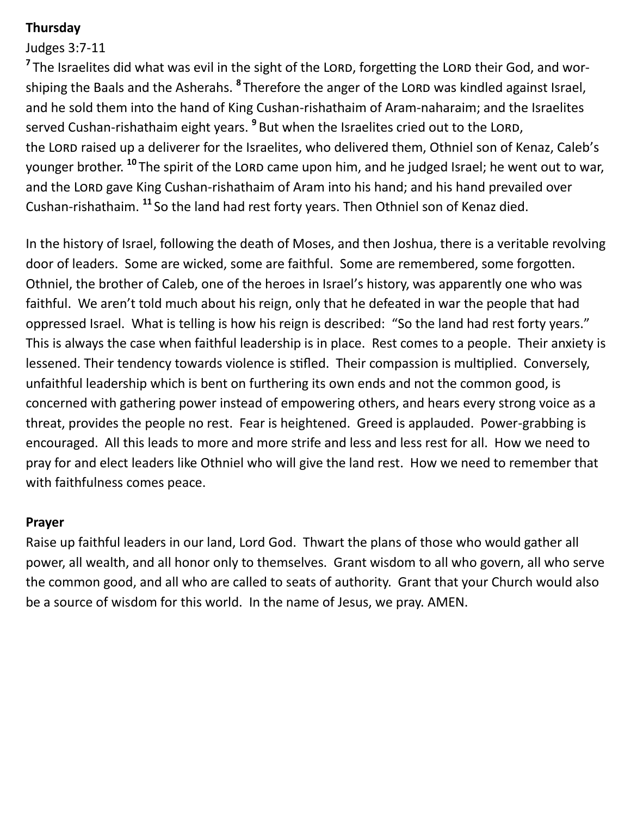# **Thursday**

# Judges 3:7-11

<sup>7</sup> The Israelites did what was evil in the sight of the Lord, forgetting the Lord their God, and worshiping the Baals and the Asherahs. **<sup>8</sup>** Therefore the anger of the Lord was kindled against Israel, and he sold them into the hand of King Cushan-rishathaim of Aram-naharaim; and the Israelites served Cushan-rishathaim eight years. <sup>9</sup> But when the Israelites cried out to the LORD, the LORD raised up a deliverer for the Israelites, who delivered them, Othniel son of Kenaz, Caleb's younger brother.<sup>10</sup> The spirit of the LORD came upon him, and he judged Israel; he went out to war, and the LORD gave King Cushan-rishathaim of Aram into his hand; and his hand prevailed over Cushan-rishathaim. **<sup>11</sup>** So the land had rest forty years. Then Othniel son of Kenaz died.

In the history of Israel, following the death of Moses, and then Joshua, there is a veritable revolving door of leaders. Some are wicked, some are faithful. Some are remembered, some forgotten. Othniel, the brother of Caleb, one of the heroes in Israel's history, was apparently one who was faithful. We aren't told much about his reign, only that he defeated in war the people that had oppressed Israel. What is telling is how his reign is described: "So the land had rest forty years." This is always the case when faithful leadership is in place. Rest comes to a people. Their anxiety is lessened. Their tendency towards violence is stifled. Their compassion is multiplied. Conversely, unfaithful leadership which is bent on furthering its own ends and not the common good, is concerned with gathering power instead of empowering others, and hears every strong voice as a threat, provides the people no rest. Fear is heightened. Greed is applauded. Power-grabbing is encouraged. All this leads to more and more strife and less and less rest for all. How we need to pray for and elect leaders like Othniel who will give the land rest. How we need to remember that with faithfulness comes peace.

## **Prayer**

Raise up faithful leaders in our land, Lord God. Thwart the plans of those who would gather all power, all wealth, and all honor only to themselves. Grant wisdom to all who govern, all who serve the common good, and all who are called to seats of authority. Grant that your Church would also be a source of wisdom for this world. In the name of Jesus, we pray. AMEN.